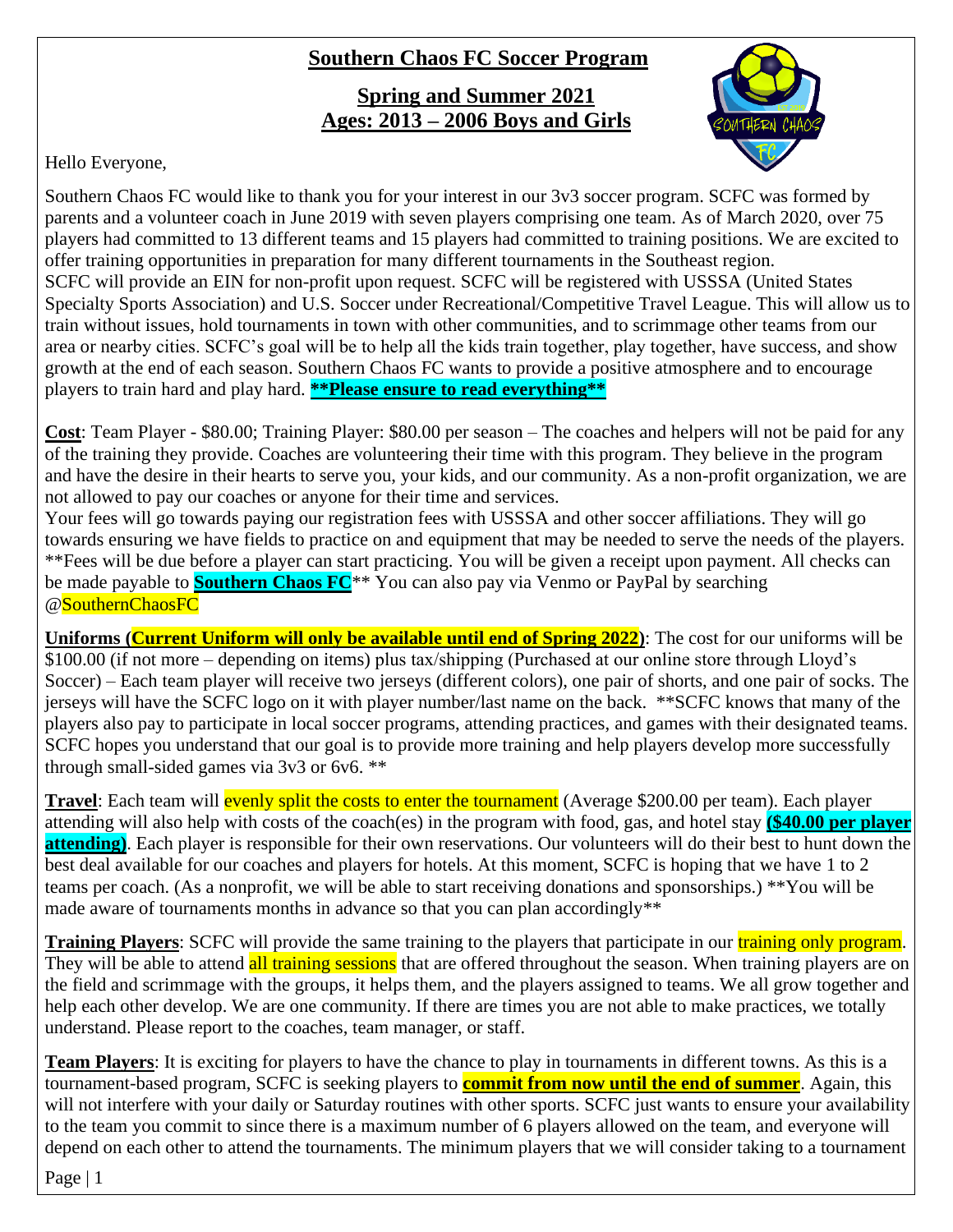## **Southern Chaos FC Soccer Program**

**Spring and Summer 2021 Ages: 2013 – 2006 Boys and Girls**



Hello Everyone,

Southern Chaos FC would like to thank you for your interest in our 3v3 soccer program. SCFC was formed by parents and a volunteer coach in June 2019 with seven players comprising one team. As of March 2020, over 75 players had committed to 13 different teams and 15 players had committed to training positions. We are excited to offer training opportunities in preparation for many different tournaments in the Southeast region. SCFC will provide an EIN for non-profit upon request. SCFC will be registered with USSSA (United States Specialty Sports Association) and U.S. Soccer under Recreational/Competitive Travel League. This will allow us to train without issues, hold tournaments in town with other communities, and to scrimmage other teams from our area or nearby cities. SCFC's goal will be to help all the kids train together, play together, have success, and show growth at the end of each season. Southern Chaos FC wants to provide a positive atmosphere and to encourage players to train hard and play hard. **\*\*Please ensure to read everything\*\***

**Cost**: Team Player - \$80.00; Training Player: \$80.00 per season – The coaches and helpers will not be paid for any of the training they provide. Coaches are volunteering their time with this program. They believe in the program and have the desire in their hearts to serve you, your kids, and our community. As a non-profit organization, we are not allowed to pay our coaches or anyone for their time and services.

Your fees will go towards paying our registration fees with USSSA and other soccer affiliations. They will go towards ensuring we have fields to practice on and equipment that may be needed to serve the needs of the players. \*\*Fees will be due before a player can start practicing. You will be given a receipt upon payment. All checks can be made payable to **Southern Chaos FC**\*\* You can also pay via Venmo or PayPal by searching @SouthernChaosFC

**Uniforms (Current Uniform will only be available until end of Spring 2022)**: The cost for our uniforms will be \$100.00 (if not more – depending on items) plus tax/shipping (Purchased at our online store through Lloyd's Soccer) – Each team player will receive two jerseys (different colors), one pair of shorts, and one pair of socks. The jerseys will have the SCFC logo on it with player number/last name on the back. \*\*SCFC knows that many of the players also pay to participate in local soccer programs, attending practices, and games with their designated teams. SCFC hopes you understand that our goal is to provide more training and help players develop more successfully through small-sided games via 3v3 or 6v6. \*\*

**Travel**: Each team will **evenly split the costs to enter the tournament** (Average \$200.00 per team). Each player attending will also help with costs of the coach(es) in the program with food, gas, and hotel stay **(\$40.00 per player**  attending). Each player is responsible for their own reservations. Our volunteers will do their best to hunt down the best deal available for our coaches and players for hotels. At this moment, SCFC is hoping that we have 1 to 2 teams per coach. (As a nonprofit, we will be able to start receiving donations and sponsorships.) \*\*You will be made aware of tournaments months in advance so that you can plan accordingly\*\*

**Training Players**: SCFC will provide the same training to the players that participate in our training only program. They will be able to attend all training sessions that are offered throughout the season. When training players are on the field and scrimmage with the groups, it helps them, and the players assigned to teams. We all grow together and help each other develop. We are one community. If there are times you are not able to make practices, we totally understand. Please report to the coaches, team manager, or staff.

**Team Players**: It is exciting for players to have the chance to play in tournaments in different towns. As this is a tournament-based program, SCFC is seeking players to **commit from now until the end of summer**. Again, this will not interfere with your daily or Saturday routines with other sports. SCFC just wants to ensure your availability to the team you commit to since there is a maximum number of 6 players allowed on the team, and everyone will depend on each other to attend the tournaments. The minimum players that we will consider taking to a tournament

Page | 1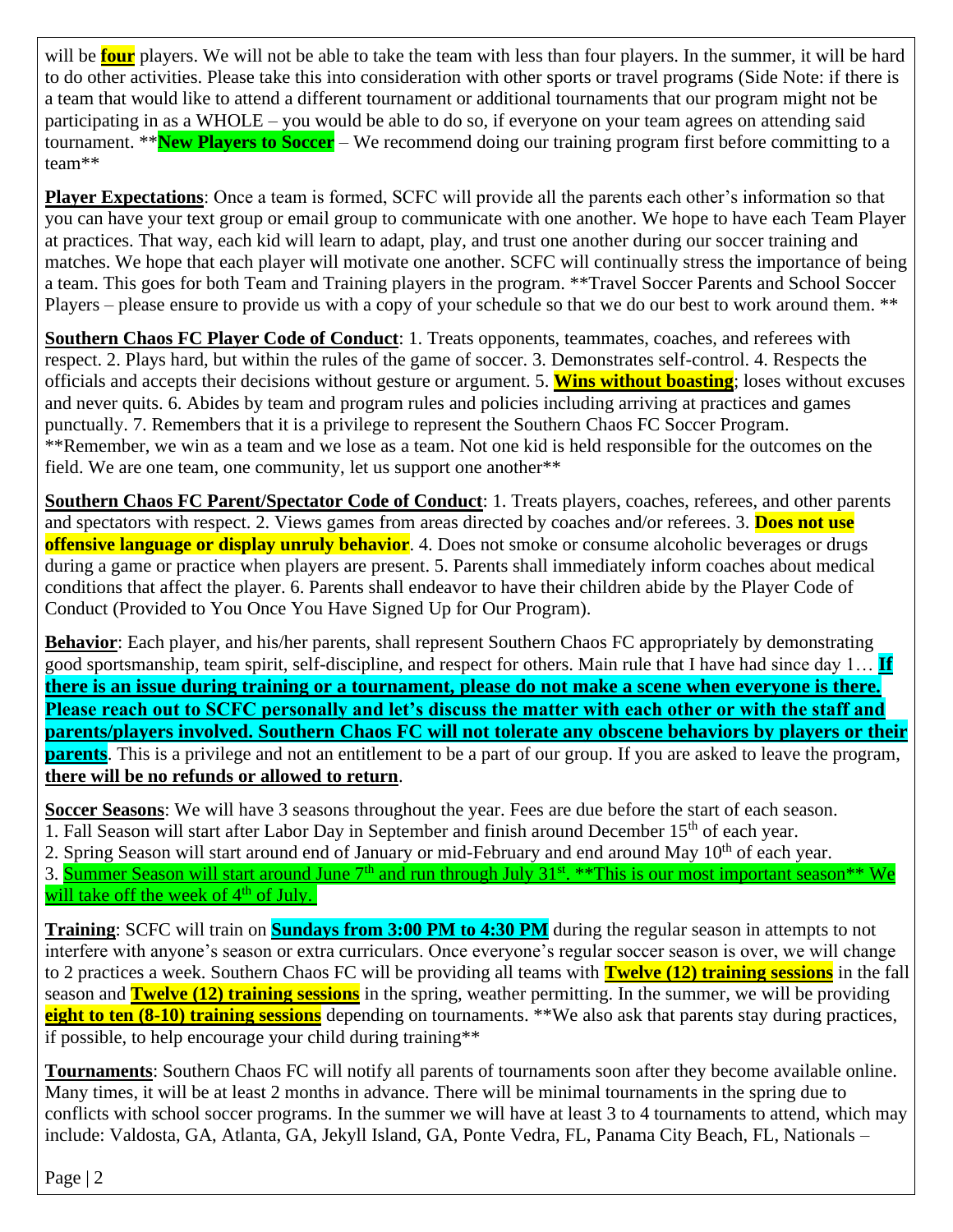will be **four** players. We will not be able to take the team with less than four players. In the summer, it will be hard to do other activities. Please take this into consideration with other sports or travel programs (Side Note: if there is a team that would like to attend a different tournament or additional tournaments that our program might not be participating in as a WHOLE – you would be able to do so, if everyone on your team agrees on attending said tournament. \*\***New Players to Soccer** – We recommend doing our training program first before committing to a team\*\*

**Player Expectations**: Once a team is formed, SCFC will provide all the parents each other's information so that you can have your text group or email group to communicate with one another. We hope to have each Team Player at practices. That way, each kid will learn to adapt, play, and trust one another during our soccer training and matches. We hope that each player will motivate one another. SCFC will continually stress the importance of being a team. This goes for both Team and Training players in the program. \*\*Travel Soccer Parents and School Soccer Players – please ensure to provide us with a copy of your schedule so that we do our best to work around them. \*\*

**Southern Chaos FC Player Code of Conduct**: 1. Treats opponents, teammates, coaches, and referees with respect. 2. Plays hard, but within the rules of the game of soccer. 3. Demonstrates self-control. 4. Respects the officials and accepts their decisions without gesture or argument. 5. **Wins without boasting**; loses without excuses and never quits. 6. Abides by team and program rules and policies including arriving at practices and games punctually. 7. Remembers that it is a privilege to represent the Southern Chaos FC Soccer Program. \*\*Remember, we win as a team and we lose as a team. Not one kid is held responsible for the outcomes on the field. We are one team, one community, let us support one another<sup>\*\*</sup>

**Southern Chaos FC Parent/Spectator Code of Conduct**: 1. Treats players, coaches, referees, and other parents and spectators with respect. 2. Views games from areas directed by coaches and/or referees. 3. **Does not use offensive language or display unruly behavior**. 4. Does not smoke or consume alcoholic beverages or drugs during a game or practice when players are present. 5. Parents shall immediately inform coaches about medical conditions that affect the player. 6. Parents shall endeavor to have their children abide by the Player Code of Conduct (Provided to You Once You Have Signed Up for Our Program).

**Behavior**: Each player, and his/her parents, shall represent Southern Chaos FC appropriately by demonstrating good sportsmanship, team spirit, self-discipline, and respect for others. Main rule that I have had since day 1… **If there is an issue during training or a tournament, please do not make a scene when everyone is there. Please reach out to SCFC personally and let's discuss the matter with each other or with the staff and parents/players involved. Southern Chaos FC will not tolerate any obscene behaviors by players or their parents**. This is a privilege and not an entitlement to be a part of our group. If you are asked to leave the program, **there will be no refunds or allowed to return**.

**Soccer Seasons**: We will have 3 seasons throughout the year. Fees are due before the start of each season. 1. Fall Season will start after Labor Day in September and finish around December 15<sup>th</sup> of each year.

2. Spring Season will start around end of January or mid-February and end around May 10<sup>th</sup> of each year.

3. Summer Season will start around June 7<sup>th</sup> and run through July 31<sup>st</sup>. \*\*This is our most important season\*\* We will take off the week of  $4<sup>th</sup>$  of July.

**Training**: SCFC will train on **Sundays from 3:00 PM to 4:30 PM** during the regular season in attempts to not interfere with anyone's season or extra curriculars. Once everyone's regular soccer season is over, we will change to 2 practices a week. Southern Chaos FC will be providing all teams with **Twelve (12) training sessions** in the fall season and **Twelve (12) training sessions** in the spring, weather permitting. In the summer, we will be providing **eight to ten (8-10) training sessions** depending on tournaments. \*\*We also ask that parents stay during practices, if possible, to help encourage your child during training\*\*

**Tournaments**: Southern Chaos FC will notify all parents of tournaments soon after they become available online. Many times, it will be at least 2 months in advance. There will be minimal tournaments in the spring due to conflicts with school soccer programs. In the summer we will have at least 3 to 4 tournaments to attend, which may include: Valdosta, GA, Atlanta, GA, Jekyll Island, GA, Ponte Vedra, FL, Panama City Beach, FL, Nationals –